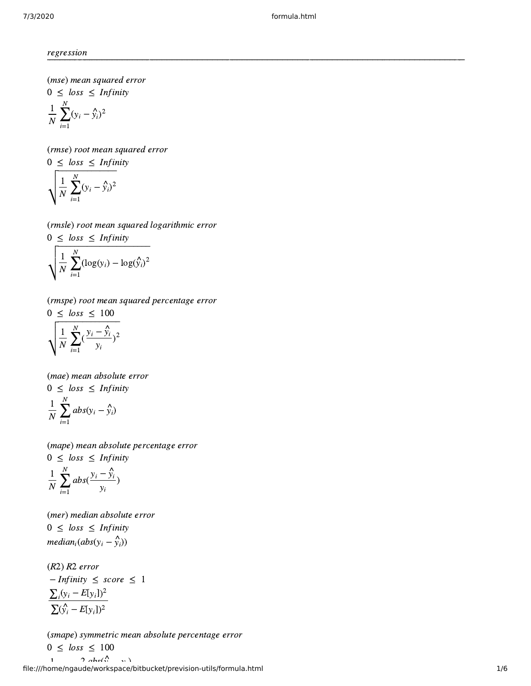regression

(mse) mean squared error  $0 \leq loss \leq Infinity$  $\frac{1}{N}\sum_{i=1}^{N}(y_i - y_i)$  $\overline{N}$   $\sum_{i=1}^{N}$ N  $y_i - \hat{y}_i^2$ regression<br>
(mse) mean square<br>  $0 \leq loss \leq Infiv$ <br>
(rmse) root mean s<br>  $0 \leq loss \leq Infiv$ 

(rmse) root mean squared error  $0 \leq loss \leq Infinity$ 

$$
\frac{1}{N} \sum_{i=1}^{N} (y_i - \hat{y}_i)^2
$$
\n(rmse) root mean squared e  
\n
$$
0 \le \text{loss} \le \text{Infinity}
$$
\n
$$
\sqrt{\frac{1}{N} \sum_{i=1}^{N} (y_i - \hat{y}_i)^2}
$$
\n(rmsle) root mean squared  
\n
$$
0 \le \text{loss} \le \text{Infinity}
$$

(rmsle) root mean squared logarithmic error  $0 \leq loss \leq Infinity$ 

$$
\sqrt{\frac{1}{N} \sum_{i=1}^{N} (y_i - \hat{y}_i)^2}
$$
\n(rmsle) root mean squared  
\n0 \n $\le \text{loss} \le \text{Infinity}$ \n
$$
\sqrt{\frac{1}{N} \sum_{i=1}^{N} (\log(y_i) - \log(\hat{y}_i))^2}
$$
\n(rmspe) root mean squared  
\n0 \n $\le \text{loss} \le 100$ 

(rmspe) root mean squared percentage error  $0 \leq loss \leq 100$ 

$$
\sqrt{\frac{1}{N}\sum_{i=1}^N(\frac{y_i-\hat{y}_i}{y_i})^2}
$$

(mae) mean absolute error  $0 \leq loss \leq Infinity$  $\frac{1}{N}\sum_{i=1}^{N}abs(y_i - \hat{y}_i)$  $\overline{N}$   $\sum_{i=1}^{n}$ N  $y_i - \hat{y}_i$ 

(mape) mean absolute percentage error  $0 \leq loss \leq Infinity$ 

$$
\frac{1}{N}\sum_{i=1}^{N}abs(\frac{y_i-\hat{y}_i}{y_i})
$$

(mer) median absolute error  $0 \leq loss \leq Infinity$  $median_i(abs(y_i - \hat{y}_i))$ 

(R2) R2 error  $-I$ *nfinity*  $\leq$  *score*  $\leq$  1  $\sum_i (y_i - E[y_i])^2$  $\sum(\hat{y}_i - E[y_i])^2$ 

file:///home/ngaude/workspace/bitbucket/prevision-utils/formula.html 1/6 (smape) symmetric mean absolute percentage error  $0 \leq loss \leq 100$ 1 2  $\partial$  abs( $\stackrel{\wedge}{\cdots}$   $\cdots$ )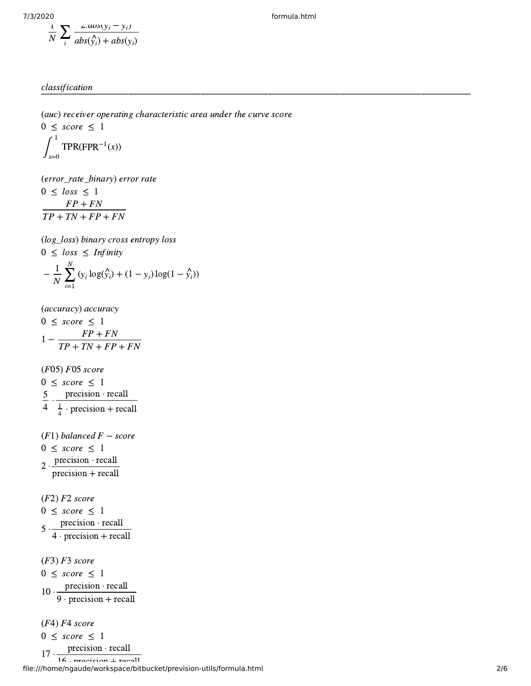$$
\frac{1}{N} \sum_{i} \frac{2.avg(y_i - y_i)}{abs(y_i) + abs(y_i)}
$$

7/3/2020 formula.html

## classification

(auc) receiver operating characteristic area under the curve score

 $0 \leq score \leq 1$  $\int_{x=0}$  TPR(FPR<sup>-1</sup>(x)) 1  $x=0$  $\rm FPR^{-1}$ 

(error\_rate\_binary) error rate  $0 < log s < 1$  $FP + FN$  $TP + TN + FP + FN$ 

(log\_loss) binary cross entropy loss  $0 \leq loss \leq Infinity$  $-\frac{1}{N}\sum_{i=1}^{N} (y_i \log(\hat{y}_i) + (1 - y_i) \log(1 - \hat{y}_i))$  $\overline{N}$   $\sum_{i=1}^{n}$ N  $y_i \log(\hat{y}_i) + (1 - y_i) \log(1 - \hat{y}_i)$ 

(accuracy) accuracy  $0 \leq score \leq 1$  $1 - \frac{FP + FN}{TP + TN + FP}$  $TP + TN + FP + FN$ 

(F05) F05 score  $0 \leq score \leq 1$  $\frac{5}{1}$ . 4 precision ⋅ recall  $\frac{1}{4}$  · precision + recall 4

 $(F1)$  balanced  $F - score$  $0 \leq score \leq 1$ 2 ⋅ precision ⋅ recall precision + recall

(F2) F2 score  $0 \leq score \leq 1$  $5 \cdot \frac{\text{precision} \cdot \text{recall}}{\text{...}}$ 4 ⋅ precision + recall

(F3) F3 score  $0 \leq score \leq 1$  $10 \cdot \frac{\text{precision} \cdot \text{recall}}{\text{...}}$ 9 ⋅ precision + recall

(F4) F4 score  $0 \leq score \leq 1$  $17 \cdot \frac{\text{precision} \cdot \text{recall}}{11}$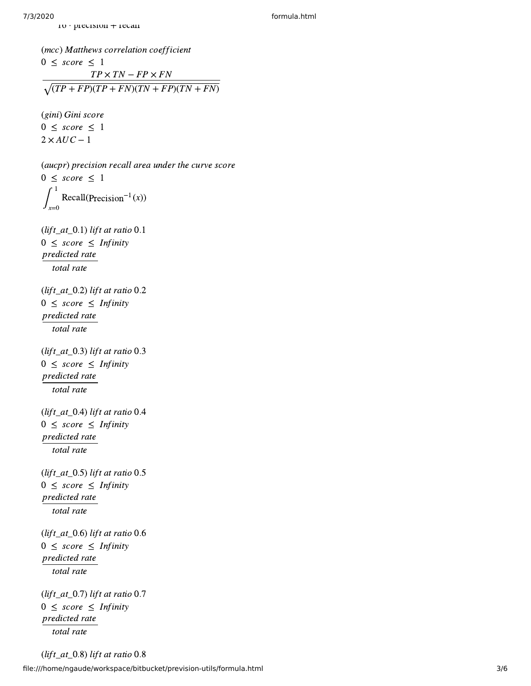16 ⋅ precision + recall

(mcc) Matthews correlation coefficient  $0 \leq score \leq 1$  $TP \times TN - FP \times FN$ (10 ⋅ PICCISION + ICCAN<br>
(mcc) Matthews correlation coefficient<br>
(TP × TN – FP × FN<br>  $\sqrt{(TP + FP)(TP + FN)(TN + FP)(TN + FN)}$ (gini) Gini score  $0 \leq score \leq 1$  $2 \times AUC - 1$ (aucpr) precision recall area under the curve score  $0 \leq score \leq 1$  $\int_{0}$  Recall(Precision<sup>-1</sup>(x)) 1 x=0 Precision $^{-1}$ (lift\_at\_0.1) lift at ratio  $0.1$  $0 \leq score \leq Infinity$ predicted rate total rate (lift\_at\_0.2) lift at ratio  $0.2$  $0 \leq score \leq Infinity$ predicted rate total rate (lift\_at\_0.3) lift at ratio  $0.3$  $0 \leq score \leq Infinity$ predicted rate total rate (lift\_at\_0.4) lift at ratio  $0.4$  $0 \leq score \leq Infinity$ predicted rate total rate (lift\_at\_0.5) lift at ratio  $0.5$  $0 \leq score \leq Infinity$ predicted rate total rate (lift\_at\_0.6) lift at ratio 0.6  $0 \leq score \leq Infinity$ predicted rate total rate  $(lift\_at_0.7)$  lift at ratio 0.7  $0 \leq score \leq Infinity$ predicted rate total rate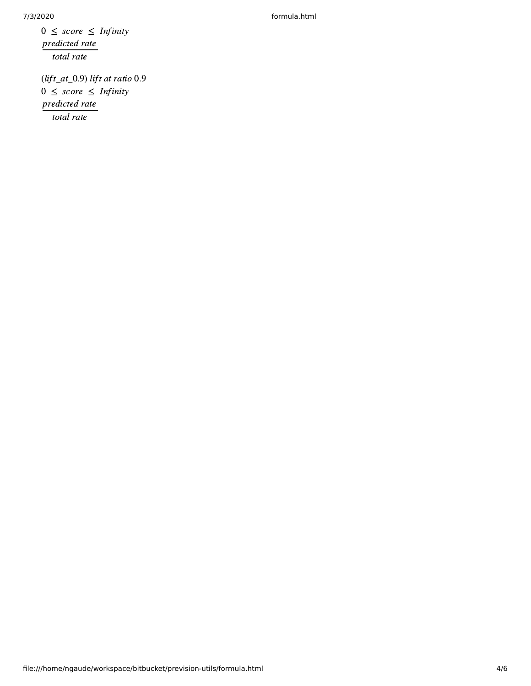7/3/2020 formula.html

 $0 \leq score \leq Infinity$ predicted rate total rate

(lift\_at\_0.9) lift at ratio 0.9  $0 \leq score \leq Infinity$ predicted rate total rate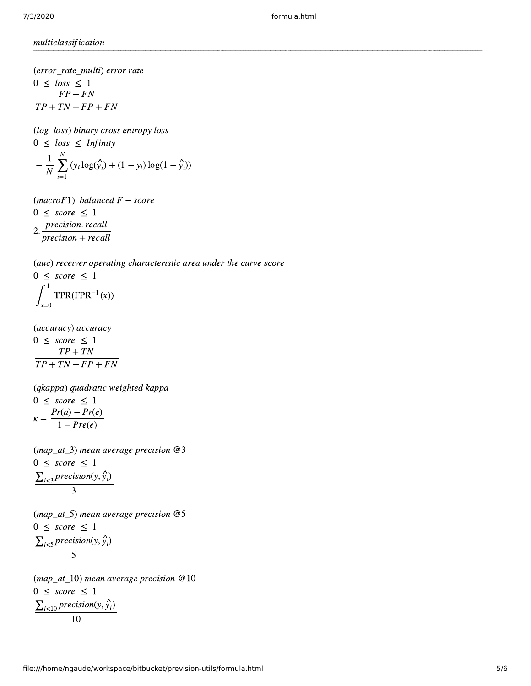multiclassification

(error\_rate\_multi) error rate

 $0 \leq loss \leq 1$  $FP + FN$  $TP + TN + FP + FN$ 

(log\_loss) binary cross entropy loss  $0 \leq loss \leq Infinity$  $-\frac{1}{N}\sum_{i}^{N}(y_i \log(\hat{y}_i) + (1 - y_i) \log(1 - \hat{y}_i))$  $\overline{N}$   $\sum_{i=1}$ N  $y_i \log(\hat{y}_i) + (1 - y_i) \log(1 - \hat{y}_i)$ 

 $(macroF1)$  balanced  $F$  – score  $0 \leq score \leq 1$ 

2.  $\frac{precision. \, recall}{1}$ precision + recall

(auc) receiver operating characteristic area under the curve score

 $0 \leq score \leq 1$  $\int_{x=0}$  TPR(FPR<sup>-1</sup>(x)) 1  $x=0$  $FPR^{-1}$ 

(accuracy) accuracy

$$
0 \leq score \leq 1
$$
  

$$
\frac{TP + TN}{TP + TN + FP + FN}
$$

(qkappa) quadratic weighted kappa  $0 \leq score \leq 1$  $\kappa = \frac{Pr(a) - Pr(e)}{1 - Pr(e)}$  $1 - Pre(e)$ 

(map\_at\_3) mean average precision  $@3$  $0 \leq score \leq 1$  $\sum_{i<3} precision(y, \hat{y}_i)$ 3

(map\_at\_5) mean average precision  $@5$  $0 \leq score \leq 1$  $\sum_{i < 5} precision(y, \hat{y}_i)$ 5

(map\_at\_10) mean average precision  $@10$  $0 \leq score \leq 1$  $\sum_{i<10} precision(y, \hat{y}_i)$ 10